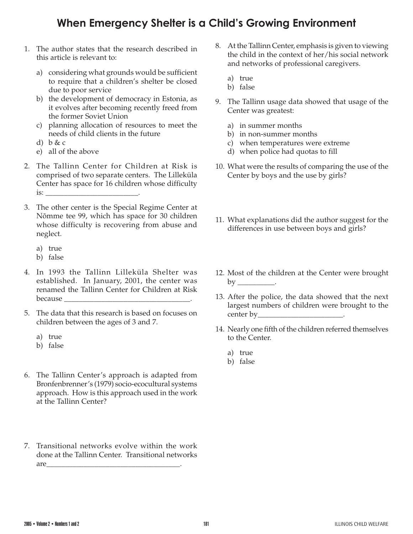## **When Emergency Shelter is a Child's Growing Environment**

- 1. The author states that the research described in this article is relevant to:
	- a) considering what grounds would be sufficient to require that a children's shelter be closed due to poor service
	- b) the development of democracy in Estonia, as it evolves after becoming recently freed from the former Soviet Union
	- c) planning allocation of resources to meet the needs of child clients in the future
	- d) b & c
	- e) all of the above
- 2. The Tallinn Center for Children at Risk is comprised of two separate centers. The Lilleküla Center has space for 16 children whose difficulty  $is:$
- 3. The other center is the Special Regime Center at Nõmme tee 99, which has space for 30 children whose difficulty is recovering from abuse and neglect.
	- a) true
	- b) false
- 4. In 1993 the Tallinn Lilleküla Shelter was established. In January, 2001, the center was renamed the Tallinn Center for Children at Risk because
- 5. The data that this research is based on focuses on children between the ages of 3 and 7.
	- a) true
	- b) false
- 6. The Tallinn Center's approach is adapted from Bronfenbrenner's (1979) socio-ecocultural systems approach. How is this approach used in the work at the Tallinn Center?
- 7. Transitional networks evolve within the work done at the Tallinn Center. Transitional networks are\_\_\_\_\_\_\_\_\_\_\_\_\_\_\_\_\_\_\_\_\_\_\_\_\_\_\_\_\_\_\_\_\_\_\_\_.
- 8. At the Tallinn Center, emphasis is given to viewing the child in the context of her/his social network and networks of professional caregivers.
	- a) true
	- b) false
- 9. The Tallinn usage data showed that usage of the Center was greatest:
	- a) in summer months
	- b) in non-summer months
	- c) when temperatures were extreme
	- d) when police had quotas to fill
- 10. What were the results of comparing the use of the Center by boys and the use by girls?
- 11. What explanations did the author suggest for the differences in use between boys and girls?
- 12. Most of the children at the Center were brought  $by$  \_\_\_\_\_\_\_\_\_\_\_.
- 13. After the police, the data showed that the next largest numbers of children were brought to the center by \_\_\_\_\_\_\_\_\_\_\_\_\_\_\_\_\_\_\_\_\_\_\_\_\_\_\_.
- 14. Nearly one fifth of the children referred themselves to the Center.
	- a) true
	- b) false